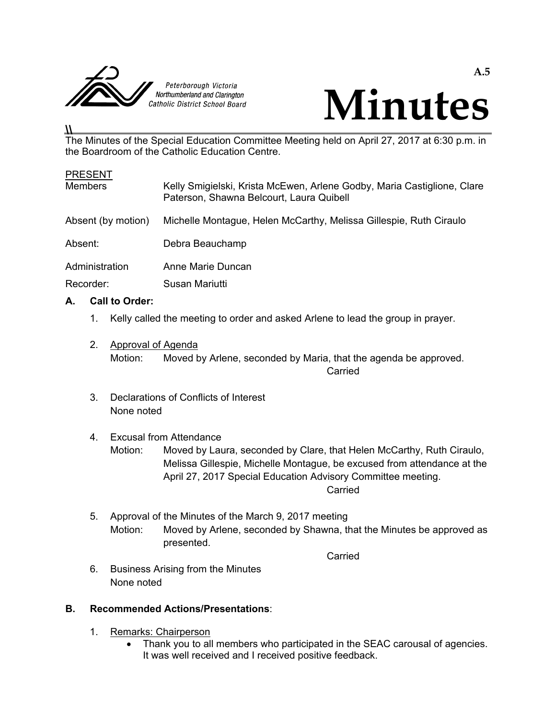



#### **\\**  The Minutes of the Special Education Committee Meeting held on April 27, 2017 at 6:30 p.m. in the Boardroom of the Catholic Education Centre.

| <b>PRESENT</b><br><b>Members</b> | Kelly Smigielski, Krista McEwen, Arlene Godby, Maria Castiglione, Clare<br>Paterson, Shawna Belcourt, Laura Quibell |
|----------------------------------|---------------------------------------------------------------------------------------------------------------------|
| Absent (by motion)               | Michelle Montague, Helen McCarthy, Melissa Gillespie, Ruth Ciraulo                                                  |
| Absent:                          | Debra Beauchamp                                                                                                     |
| Administration                   | Anne Marie Duncan                                                                                                   |
| Recorder:                        | Susan Mariutti                                                                                                      |

### **A. Call to Order:**

- 1. Kelly called the meeting to order and asked Arlene to lead the group in prayer.
- 2. Approval of Agenda Motion: Moved by Arlene, seconded by Maria, that the agenda be approved. **Carried Carried Carried Carried Carried Carried Carried Carried Carried Carried Carried Carried Carried Carried Carried Carried Carried Carried Carried Carried Carried Carried Carried Carried Carried Carried Carried Carri** 
	- 3. Declarations of Conflicts of Interest None noted

#### 4. Excusal from Attendance

- Motion: Moved by Laura, seconded by Clare, that Helen McCarthy, Ruth Ciraulo, Melissa Gillespie, Michelle Montague, be excused from attendance at the April 27, 2017 Special Education Advisory Committee meeting. **Carried** Carried Carried Carried Carried Carried Carried Carried Carried Carried Carried Carried Carried Carried Carried Carried Carried Carried Carried Carried Carried Carried Carried Carried Carried Carried Carried Carr
	- 5. Approval of the Minutes of the March 9, 2017 meeting Motion: Moved by Arlene, seconded by Shawna, that the Minutes be approved as presented.

**Carried Carried Carried Carried Carried Carried Carried Carried Carried Carried Carried Carried Carried Carried Carried Carried Carried Carried Carried Carried Carried Carried Carried Carried Carried Carried Carried Carri** 

 6. Business Arising from the Minutes None noted

### **B. Recommended Actions/Presentations**:

- 1. Remarks: Chairperson
	- Thank you to all members who participated in the SEAC carousal of agencies. It was well received and I received positive feedback.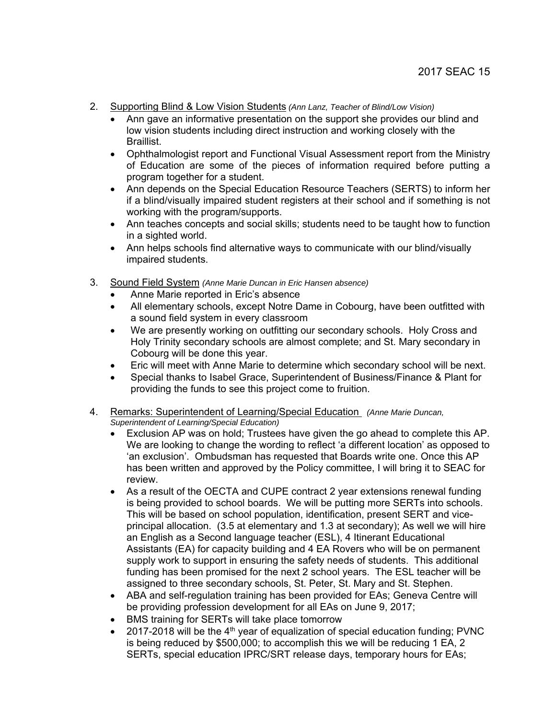- 2. Supporting Blind & Low Vision Students *(Ann Lanz, Teacher of Blind/Low Vision)* 
	- Ann gave an informative presentation on the support she provides our blind and low vision students including direct instruction and working closely with the **Braillist**
	- Ophthalmologist report and Functional Visual Assessment report from the Ministry of Education are some of the pieces of information required before putting a program together for a student.
	- Ann depends on the Special Education Resource Teachers (SERTS) to inform her if a blind/visually impaired student registers at their school and if something is not working with the program/supports.
	- Ann teaches concepts and social skills; students need to be taught how to function in a sighted world.
	- Ann helps schools find alternative ways to communicate with our blind/visually impaired students.
- 3. Sound Field System *(Anne Marie Duncan in Eric Hansen absence)*
	- Anne Marie reported in Eric's absence
	- All elementary schools, except Notre Dame in Cobourg, have been outfitted with a sound field system in every classroom
	- We are presently working on outfitting our secondary schools. Holy Cross and Holy Trinity secondary schools are almost complete; and St. Mary secondary in Cobourg will be done this year.
	- Eric will meet with Anne Marie to determine which secondary school will be next.
	- Special thanks to Isabel Grace, Superintendent of Business/Finance & Plant for providing the funds to see this project come to fruition.
- 4. Remarks: Superintendent of Learning/Special Education *(Anne Marie Duncan, Superintendent of Learning/Special Education)*
	- Exclusion AP was on hold; Trustees have given the go ahead to complete this AP. We are looking to change the wording to reflect 'a different location' as opposed to 'an exclusion'. Ombudsman has requested that Boards write one. Once this AP has been written and approved by the Policy committee, I will bring it to SEAC for review.
	- As a result of the OECTA and CUPE contract 2 year extensions renewal funding is being provided to school boards. We will be putting more SERTs into schools. This will be based on school population, identification, present SERT and viceprincipal allocation. (3.5 at elementary and 1.3 at secondary); As well we will hire an English as a Second language teacher (ESL), 4 Itinerant Educational Assistants (EA) for capacity building and 4 EA Rovers who will be on permanent supply work to support in ensuring the safety needs of students. This additional funding has been promised for the next 2 school years. The ESL teacher will be assigned to three secondary schools, St. Peter, St. Mary and St. Stephen.
	- ABA and self-regulation training has been provided for EAs; Geneva Centre will be providing profession development for all EAs on June 9, 2017;
	- BMS training for SERTs will take place tomorrow
	- 2017-2018 will be the  $4<sup>th</sup>$  year of equalization of special education funding; PVNC is being reduced by \$500,000; to accomplish this we will be reducing 1 EA, 2 SERTs, special education IPRC/SRT release days, temporary hours for EAs;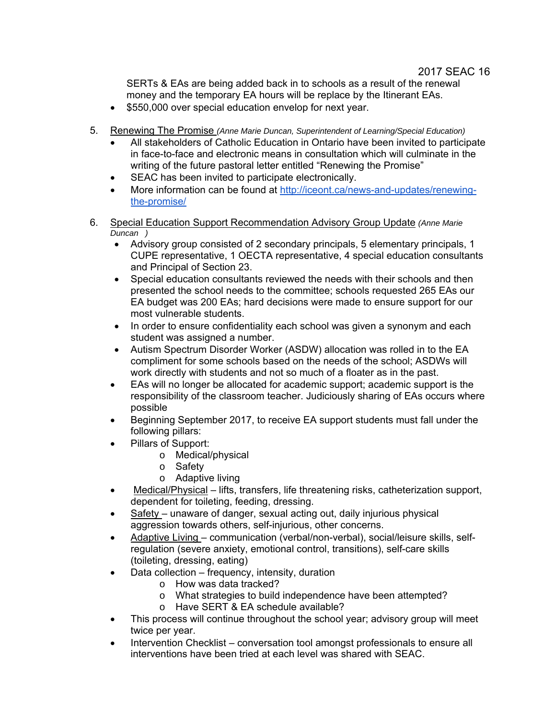SERTs & EAs are being added back in to schools as a result of the renewal money and the temporary EA hours will be replace by the Itinerant EAs.

- \$550,000 over special education envelop for next year.
- 5. Renewing The Promise *(Anne Marie Duncan, Superintendent of Learning/Special Education)*
	- All stakeholders of Catholic Education in Ontario have been invited to participate in face-to-face and electronic means in consultation which will culminate in the writing of the future pastoral letter entitled "Renewing the Promise"
	- SEAC has been invited to participate electronically.
	- More information can be found at http://iceont.ca/news-and-updates/renewingthe-promise/
- 6. Special Education Support Recommendation Advisory Group Update *(Anne Marie Duncan )*
	- Advisory group consisted of 2 secondary principals, 5 elementary principals, 1 CUPE representative, 1 OECTA representative, 4 special education consultants and Principal of Section 23.
	- Special education consultants reviewed the needs with their schools and then presented the school needs to the committee; schools requested 265 EAs our EA budget was 200 EAs; hard decisions were made to ensure support for our most vulnerable students.
	- In order to ensure confidentiality each school was given a synonym and each student was assigned a number.
	- Autism Spectrum Disorder Worker (ASDW) allocation was rolled in to the EA compliment for some schools based on the needs of the school; ASDWs will work directly with students and not so much of a floater as in the past.
	- EAs will no longer be allocated for academic support; academic support is the responsibility of the classroom teacher. Judiciously sharing of EAs occurs where possible
	- Beginning September 2017, to receive EA support students must fall under the following pillars:
	- Pillars of Support:
		- o Medical/physical
		- o Safety
		- o Adaptive living
	- Medical/Physical lifts, transfers, life threatening risks, catheterization support, dependent for toileting, feeding, dressing.
	- Safety unaware of danger, sexual acting out, daily injurious physical aggression towards others, self-injurious, other concerns.
	- Adaptive Living communication (verbal/non-verbal), social/leisure skills, selfregulation (severe anxiety, emotional control, transitions), self-care skills (toileting, dressing, eating)
	- Data collection frequency, intensity, duration
		- o How was data tracked?
		- o What strategies to build independence have been attempted?
		- o Have SERT & EA schedule available?
	- This process will continue throughout the school year; advisory group will meet twice per year.
	- Intervention Checklist conversation tool amongst professionals to ensure all interventions have been tried at each level was shared with SEAC.